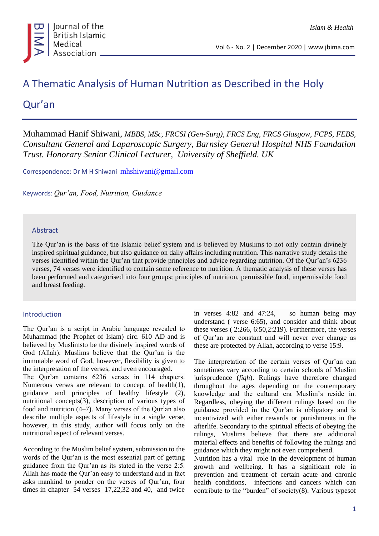

# A Thematic Analysis of Human Nutrition as Described in the Holy

Qur'an

Muhammad Hanif Shiwani, *MBBS, MSc, FRCSI (Gen-Surg), FRCS Eng, FRCS Glasgow, FCPS, FEBS, Consultant General and Laparoscopic Surgery, Barnsley General Hospital NHS Foundation Trust. Honorary Senior Clinical Lecturer, University of Sheffield. UK*

Correspondence: Dr M H Shiwani [mhshiwani@gmail.com](mailto:mhshiwani@gmail.com)

Keywords: *Qur'an, Food, Nutrition, Guidance*

### Abstract

The Qur'an is the basis of the Islamic belief system and is believed by Muslims to not only contain divinely inspired spiritual guidance, but also guidance on daily affairs including nutrition. This narrative study details the verses identified within the Qur'an that provide principles and advice regarding nutrition. Of the Qur'an's 6236 verses, 74 verses were identified to contain some reference to nutrition. A thematic analysis of these verses has been performed and categorised into four groups; principles of nutrition, permissible food, impermissible food and breast feeding.

### Introduction

The Qur'an is a script in Arabic language revealed to Muhammad (the Prophet of Islam) circ. 610 AD and is believed by Muslimsto be the divinely inspired words of God (Allah). Muslims believe that the Qur'an is the immutable word of God, however, flexibility is given to the interpretation of the verses, and even encouraged.

The Qur'an contains 6236 verses in 114 chapters. Numerous verses are relevant to concept of health(1), guidance and principles of healthy lifestyle (2), nutritional concepts(3), description of various types of food and nutrition (4–7). Many verses of the Qur'an also describe multiple aspects of lifestyle in a single verse, however, in this study, author will focus only on the nutritional aspect of relevant verses.

According to the Muslim belief system, submission to the words of the Qur'an is the most essential part of getting guidance from the Qur'an as its stated in the verse 2:5. Allah has made the Qur'an easy to understand and in fact asks mankind to ponder on the verses of Qur'an, four times in chapter 54 verses 17,22,32 and 40, and twice in verses 4:82 and 47:24, so human being may understand ( verse 6:65), and consider and think about these verses ( 2:266, 6:50,2:219). Furthermore, the verses of Qur'an are constant and will never ever change as these are protected by Allah, according to verse 15:9.

The interpretation of the certain verses of Qur'an can sometimes vary according to certain schools of Muslim jurisprudence (*fiqh*). Rulings have therefore changed throughout the ages depending on the contemporary knowledge and the cultural era Muslim's reside in. Regardless, obeying the different rulings based on the guidance provided in the Qur'an is obligatory and is incentivized with either rewards or punishments in the afterlife. Secondary to the spiritual effects of obeying the rulings, Muslims believe that there are additional material effects and benefits of following the rulings and guidance which they might not even comprehend.

Nutrition has a vital role in the development of human growth and wellbeing. It has a significant role in prevention and treatment of certain acute and chronic health conditions, infections and cancers which can contribute to the "burden" of society(8). Various typesof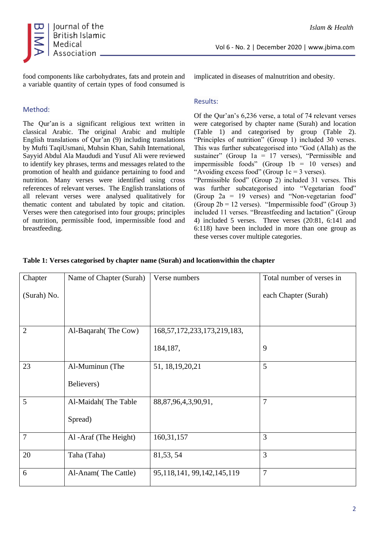

food components like carbohydrates, fats and protein and a variable quantity of certain types of food consumed is

### Method:

The Qur'an is a significant religious text written in classical Arabic. The original Arabic and multiple English translations of Qur'an (9) including translations by Mufti TaqiUsmani, Muhsin Khan, Sahih International, Sayyid Abdul Ala Maududi and Yusuf Ali were reviewed to identify key phrases, terms and messages related to the promotion of health and guidance pertaining to food and nutrition. Many verses were identified using cross references of relevant verses. The English translations of all relevant verses were analysed qualitatively for thematic content and tabulated by topic and citation. Verses were then categorised into four groups; principles of nutrition, permissible food, impermissible food and breastfeeding.

implicated in diseases of malnutrition and obesity.

### Results:

Of the Qur'an's 6,236 verse, a total of 74 relevant verses were categorised by chapter name (Surah) and location (Table 1) and categorised by group (Table 2). "Principles of nutrition" (Group 1) included 30 verses. This was further subcategorised into "God (Allah) as the sustainer" (Group  $1a = 17$  verses), "Permissible and impermissible foods" (Group  $1b = 10$  verses) and "Avoiding excess food" (Group  $1c = 3$  verses).

"Permissible food" (Group 2) included 31 verses. This was further subcategorised into "Vegetarian food" (Group 2a = 19 verses) and "Non-vegetarian food" (Group  $2b = 12$  verses). "Impermissible food" (Group 3) included 11 verses. "Breastfeeding and lactation" (Group 4) included 5 verses. Three verses (20:81, 6:141 and 6:118) have been included in more than one group as these verses cover multiple categories.

| Chapter        | Name of Chapter (Surah) | Verse numbers                     | Total number of verses in |
|----------------|-------------------------|-----------------------------------|---------------------------|
| (Surah) No.    |                         |                                   | each Chapter (Surah)      |
|                |                         |                                   |                           |
|                |                         |                                   |                           |
| $\overline{2}$ | Al-Baqarah (The Cow)    | 168, 57, 172, 233, 173, 219, 183, |                           |
|                |                         | 184, 187,                         | 9                         |
| 23             | Al-Muminun (The         | 51, 18, 19, 20, 21                | 5                         |
|                | Believers)              |                                   |                           |
| 5              | Al-Maidah (The Table    | 88, 87, 96, 4, 3, 90, 91,         | $\overline{7}$            |
|                | Spread)                 |                                   |                           |
| $\overline{7}$ | Al -Araf (The Height)   | 160, 31, 157                      | 3                         |
| 20             | Taha (Taha)             | 81, 53, 54                        | 3                         |
| 6              | Al-Anam(The Cattle)     | 95, 118, 141, 99, 142, 145, 119   | $\overline{7}$            |

### **Table 1: Verses categorised by chapter name (Surah) and locationwithin the chapter**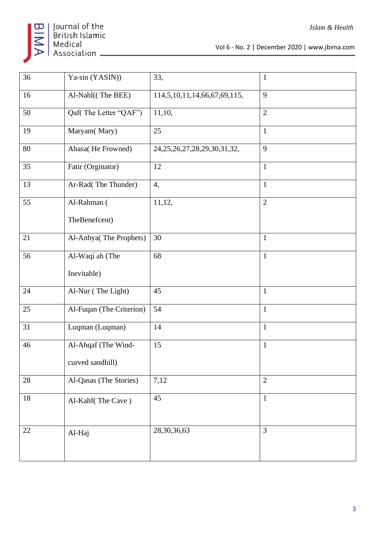

Vol 6 - No. 2 | December 2020 | www.jbima.com

| 36     | Ya-sin (YASIN))          | 33,                                 | $\mathbf{1}$   |
|--------|--------------------------|-------------------------------------|----------------|
|        |                          |                                     |                |
| 16     | Al-Nahl((The BEE)        | 114,5,10,11,14,66,67,69,115,        | 9              |
| 50     | Qaf(The Letter "QAF")    | 11,10,                              | $\overline{2}$ |
| 19     | Maryam(Mary)             | 25                                  | $\mathbf{1}$   |
| 80     | Abasa(He Frowned)        | 24, 25, 26, 27, 28, 29, 30, 31, 32, | 9              |
| 35     | Fatir (Orginator)        | 12                                  | $\mathbf{1}$   |
| 13     | Ar-Rad(The Thunder)      | 4,                                  | $\mathbf{1}$   |
| 55     | Al-Rahman (              | 11,12,                              | $\overline{2}$ |
|        | TheBenefcent)            |                                     |                |
| 21     | Al-Anbya(The Prophets)   | 30                                  | $\mathbf{1}$   |
| 56     | Al-Waqi ah (The          | 68                                  | $\mathbf{1}$   |
|        | Inevitable)              |                                     |                |
| 24     | Al-Nur (The Light)       | 45                                  | $\mathbf{1}$   |
| 25     | Al-Fuqan (The Criterion) | 54                                  | $\mathbf{1}$   |
| 31     | Luqman (Luqman)          | 14                                  | $\mathbf{1}$   |
| 46     | Al-Ahqaf (The Wind-      | 15                                  | $\mathbf{1}$   |
|        | curved sandhill)         |                                     |                |
| 28     | Al-Qasas (The Stories)   | 7,12                                | $\overline{2}$ |
| $18\,$ | Al-Kahf(The Cave)        | 45                                  | $\mathbf{1}$   |
|        |                          |                                     |                |
| 22     | Al-Haj                   | 28, 30, 36, 63                      | $\overline{3}$ |
|        |                          |                                     |                |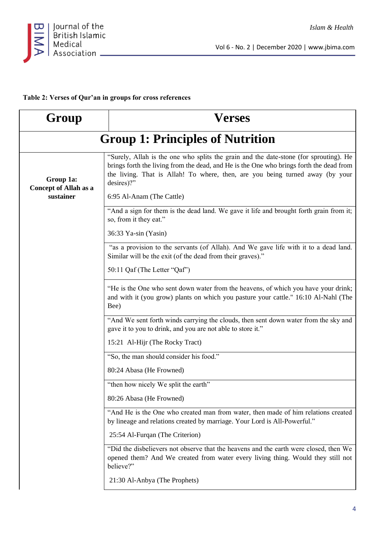

# **Table 2: Verses of Qur'an in groups for cross references**

| Group                                     | Verses                                                                                                                                                                                                                                                                          |  |
|-------------------------------------------|---------------------------------------------------------------------------------------------------------------------------------------------------------------------------------------------------------------------------------------------------------------------------------|--|
|                                           | <b>Group 1: Principles of Nutrition</b>                                                                                                                                                                                                                                         |  |
| Group 1a:<br><b>Concept of Allah as a</b> | "Surely, Allah is the one who splits the grain and the date-stone (for sprouting). He<br>brings forth the living from the dead, and He is the One who brings forth the dead from<br>the living. That is Allah! To where, then, are you being turned away (by your<br>desires)?" |  |
| sustainer                                 | 6:95 Al-Anam (The Cattle)                                                                                                                                                                                                                                                       |  |
|                                           | "And a sign for them is the dead land. We gave it life and brought forth grain from it;<br>so, from it they eat."                                                                                                                                                               |  |
|                                           | 36:33 Ya-sin (Yasin)                                                                                                                                                                                                                                                            |  |
|                                           | "as a provision to the servants (of Allah). And We gave life with it to a dead land.<br>Similar will be the exit (of the dead from their graves)."                                                                                                                              |  |
|                                           | 50:11 Qaf (The Letter "Qaf")                                                                                                                                                                                                                                                    |  |
|                                           | "He is the One who sent down water from the heavens, of which you have your drink;<br>and with it (you grow) plants on which you pasture your cattle." 16:10 Al-Nahl (The<br>Bee)                                                                                               |  |
|                                           | "And We sent forth winds carrying the clouds, then sent down water from the sky and<br>gave it to you to drink, and you are not able to store it."                                                                                                                              |  |
|                                           | 15:21 Al-Hijr (The Rocky Tract)                                                                                                                                                                                                                                                 |  |
|                                           | "So, the man should consider his food."                                                                                                                                                                                                                                         |  |
|                                           | 80:24 Abasa (He Frowned)                                                                                                                                                                                                                                                        |  |
|                                           | "then how nicely We split the earth"                                                                                                                                                                                                                                            |  |
|                                           | 80:26 Abasa (He Frowned)                                                                                                                                                                                                                                                        |  |
|                                           | "And He is the One who created man from water, then made of him relations created<br>by lineage and relations created by marriage. Your Lord is All-Powerful."                                                                                                                  |  |
|                                           | 25:54 Al-Furqan (The Criterion)                                                                                                                                                                                                                                                 |  |
|                                           | "Did the disbelievers not observe that the heavens and the earth were closed, then We<br>opened them? And We created from water every living thing. Would they still not<br>believe?"                                                                                           |  |
|                                           | 21:30 Al-Anbya (The Prophets)                                                                                                                                                                                                                                                   |  |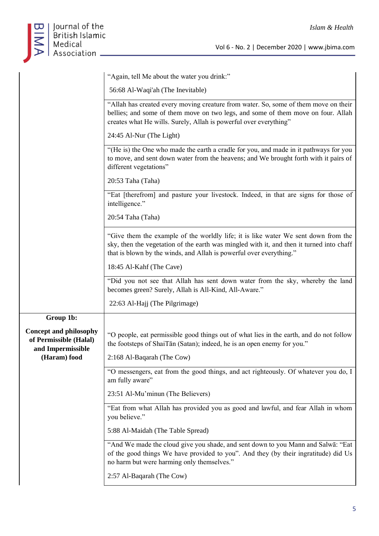

| 56:68 Al-Waqi'ah (The Inevitable)                                                   |
|-------------------------------------------------------------------------------------|
| "Allah has created every moving creature from water. So, some of them move on their |
| bellies; and some of them move on two legs, and some of them move on four. Allah    |
| creates what He wills. Surely, Allah is powerful over everything"                   |

"Again, tell Me about the water you drink:"

24:45 Al-Nur (The Light)

"(He is) the One who made the earth a cradle for you, and made in it pathways for you to move, and sent down water from the heavens; and We brought forth with it pairs of different vegetations"

20:53 Taha (Taha)

"Eat [therefrom] and pasture your livestock. Indeed, in that are signs for those of intelligence."

20:54 Taha (Taha)

"Give them the example of the worldly life; it is like water We sent down from the sky, then the vegetation of the earth was mingled with it, and then it turned into chaff that is blown by the winds, and Allah is powerful over everything."

18:45 Al-Kahf (The Cave)

"Did you not see that Allah has sent down water from the sky, whereby the land becomes green? Surely, Allah is All-Kind, All-Aware."

22:63 Al-Hajj (The Pilgrimage)

**Group 1b: Concept and philosophy of Permissible (Halal) and Impermissible (Haram) food** "O people, eat permissible good things out of what lies in the earth, and do not follow the footsteps of ShaiTān (Satan); indeed, he is an open enemy for you." 2:168 Al-Baqarah (The Cow) "O messengers, eat from the good things, and act righteously. Of whatever you do, I am fully aware" 23:51 Al-Mu'minun (The Believers) "Eat from what Allah has provided you as good and lawful, and fear Allah in whom you believe." 5:88 Al-Maidah (The Table Spread)

> "And We made the cloud give you shade, and sent down to you Mann and Salwā: "Eat of the good things We have provided to you". And they (by their ingratitude) did Us no harm but were harming only themselves."

2:57 Al-Baqarah (The Cow)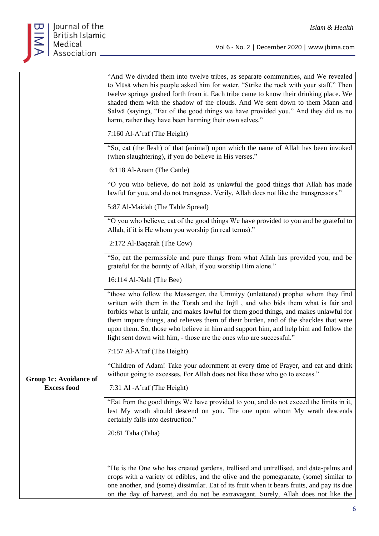

|                        | "And We divided them into twelve tribes, as separate communities, and We revealed<br>to Mūsā when his people asked him for water, "Strike the rock with your staff." Then<br>twelve springs gushed forth from it. Each tribe came to know their drinking place. We<br>shaded them with the shadow of the clouds. And We sent down to them Mann and<br>Salwā (saying), "Eat of the good things we have provided you." And they did us no<br>harm, rather they have been harming their own selves."                   |
|------------------------|---------------------------------------------------------------------------------------------------------------------------------------------------------------------------------------------------------------------------------------------------------------------------------------------------------------------------------------------------------------------------------------------------------------------------------------------------------------------------------------------------------------------|
|                        | 7:160 Al-A'raf (The Height)                                                                                                                                                                                                                                                                                                                                                                                                                                                                                         |
|                        | "So, eat (the flesh) of that (animal) upon which the name of Allah has been invoked<br>(when slaughtering), if you do believe in His verses."                                                                                                                                                                                                                                                                                                                                                                       |
|                        | 6:118 Al-Anam (The Cattle)                                                                                                                                                                                                                                                                                                                                                                                                                                                                                          |
|                        | "O you who believe, do not hold as unlawful the good things that Allah has made<br>lawful for you, and do not transgress. Verily, Allah does not like the transgressors."                                                                                                                                                                                                                                                                                                                                           |
|                        | 5:87 Al-Maidah (The Table Spread)                                                                                                                                                                                                                                                                                                                                                                                                                                                                                   |
|                        | "O you who believe, eat of the good things We have provided to you and be grateful to<br>Allah, if it is He whom you worship (in real terms)."                                                                                                                                                                                                                                                                                                                                                                      |
|                        | 2:172 Al-Baqarah (The Cow)                                                                                                                                                                                                                                                                                                                                                                                                                                                                                          |
|                        | "So, eat the permissible and pure things from what Allah has provided you, and be<br>grateful for the bounty of Allah, if you worship Him alone."                                                                                                                                                                                                                                                                                                                                                                   |
|                        | 16:114 Al-Nahl (The Bee)                                                                                                                                                                                                                                                                                                                                                                                                                                                                                            |
|                        | "those who follow the Messenger, the Ummiyy (unlettered) prophet whom they find<br>written with them in the Torah and the Injil, and who bids them what is fair and<br>forbids what is unfair, and makes lawful for them good things, and makes unlawful for<br>them impure things, and relieves them of their burden, and of the shackles that were<br>upon them. So, those who believe in him and support him, and help him and follow the<br>light sent down with him, - those are the ones who are successful." |
|                        | 7:157 Al-A'raf (The Height)                                                                                                                                                                                                                                                                                                                                                                                                                                                                                         |
| Group 1c: Avoidance of | "Children of Adam! Take your adornment at every time of Prayer, and eat and drink<br>without going to excesses. For Allah does not like those who go to excess."                                                                                                                                                                                                                                                                                                                                                    |
| <b>Excess food</b>     | 7:31 Al - A'raf (The Height)                                                                                                                                                                                                                                                                                                                                                                                                                                                                                        |
|                        | "Eat from the good things We have provided to you, and do not exceed the limits in it,<br>lest My wrath should descend on you. The one upon whom My wrath descends<br>certainly falls into destruction."                                                                                                                                                                                                                                                                                                            |
|                        | 20:81 Taha (Taha)                                                                                                                                                                                                                                                                                                                                                                                                                                                                                                   |
|                        | "He is the One who has created gardens, trellised and untrellised, and date-palms and<br>crops with a variety of edibles, and the olive and the pomegranate, (some) similar to<br>one another, and (some) dissimilar. Eat of its fruit when it bears fruits, and pay its due                                                                                                                                                                                                                                        |
|                        | on the day of harvest, and do not be extravagant. Surely, Allah does not like the                                                                                                                                                                                                                                                                                                                                                                                                                                   |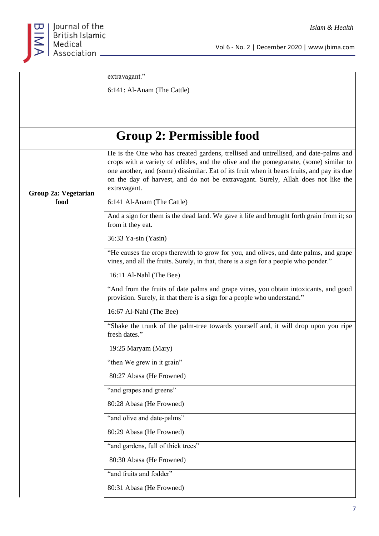

Vol 6 - No. 2 | December 2020 | www.jbima.com

|                      | extravagant."                                                                                                                                                                                                                                                                                                                                                                    |
|----------------------|----------------------------------------------------------------------------------------------------------------------------------------------------------------------------------------------------------------------------------------------------------------------------------------------------------------------------------------------------------------------------------|
|                      | 6:141: Al-Anam (The Cattle)                                                                                                                                                                                                                                                                                                                                                      |
|                      |                                                                                                                                                                                                                                                                                                                                                                                  |
|                      |                                                                                                                                                                                                                                                                                                                                                                                  |
|                      | Group 2: Permissible food                                                                                                                                                                                                                                                                                                                                                        |
| Group 2a: Vegetarian | He is the One who has created gardens, trellised and untrellised, and date-palms and<br>crops with a variety of edibles, and the olive and the pomegranate, (some) similar to<br>one another, and (some) dissimilar. Eat of its fruit when it bears fruits, and pay its due<br>on the day of harvest, and do not be extravagant. Surely, Allah does not like the<br>extravagant. |
| food                 | 6:141 Al-Anam (The Cattle)                                                                                                                                                                                                                                                                                                                                                       |
|                      | And a sign for them is the dead land. We gave it life and brought forth grain from it; so<br>from it they eat.                                                                                                                                                                                                                                                                   |
|                      | 36:33 Ya-sin (Yasin)                                                                                                                                                                                                                                                                                                                                                             |
|                      | "He causes the crops therewith to grow for you, and olives, and date palms, and grape<br>vines, and all the fruits. Surely, in that, there is a sign for a people who ponder."                                                                                                                                                                                                   |
|                      | 16:11 Al-Nahl (The Bee)                                                                                                                                                                                                                                                                                                                                                          |
|                      | "And from the fruits of date palms and grape vines, you obtain intoxicants, and good<br>provision. Surely, in that there is a sign for a people who understand."                                                                                                                                                                                                                 |
|                      | 16:67 Al-Nahl (The Bee)                                                                                                                                                                                                                                                                                                                                                          |
|                      | "Shake the trunk of the palm-tree towards yourself and, it will drop upon you ripe<br>fresh dates."                                                                                                                                                                                                                                                                              |
|                      | 19:25 Maryam (Mary)                                                                                                                                                                                                                                                                                                                                                              |
|                      | "then We grew in it grain"                                                                                                                                                                                                                                                                                                                                                       |
|                      | 80:27 Abasa (He Frowned)                                                                                                                                                                                                                                                                                                                                                         |
|                      | "and grapes and greens"                                                                                                                                                                                                                                                                                                                                                          |
|                      | 80:28 Abasa (He Frowned)                                                                                                                                                                                                                                                                                                                                                         |
|                      | "and olive and date-palms"                                                                                                                                                                                                                                                                                                                                                       |
|                      | 80:29 Abasa (He Frowned)                                                                                                                                                                                                                                                                                                                                                         |
|                      | "and gardens, full of thick trees"                                                                                                                                                                                                                                                                                                                                               |
|                      | 80:30 Abasa (He Frowned)                                                                                                                                                                                                                                                                                                                                                         |
|                      | "and fruits and fodder"                                                                                                                                                                                                                                                                                                                                                          |
|                      | 80:31 Abasa (He Frowned)                                                                                                                                                                                                                                                                                                                                                         |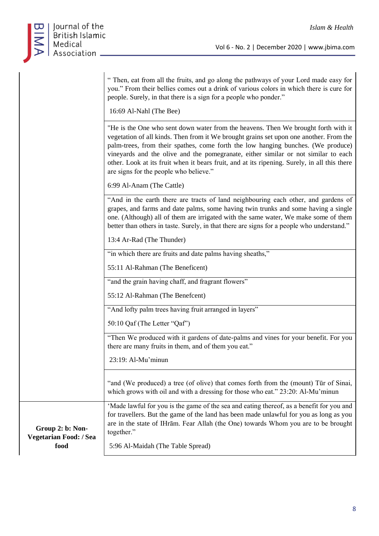

|                                            | " Then, eat from all the fruits, and go along the pathways of your Lord made easy for<br>you." From their bellies comes out a drink of various colors in which there is cure for<br>people. Surely, in that there is a sign for a people who ponder."                                                                                                                                                                                                                                            |
|--------------------------------------------|--------------------------------------------------------------------------------------------------------------------------------------------------------------------------------------------------------------------------------------------------------------------------------------------------------------------------------------------------------------------------------------------------------------------------------------------------------------------------------------------------|
|                                            | 16:69 Al-Nahl (The Bee)                                                                                                                                                                                                                                                                                                                                                                                                                                                                          |
|                                            | "He is the One who sent down water from the heavens. Then We brought forth with it<br>vegetation of all kinds. Then from it We brought grains set upon one another. From the<br>palm-trees, from their spathes, come forth the low hanging bunches. (We produce)<br>vineyards and the olive and the pomegranate, either similar or not similar to each<br>other. Look at its fruit when it bears fruit, and at its ripening. Surely, in all this there<br>are signs for the people who believe." |
|                                            | 6:99 Al-Anam (The Cattle)                                                                                                                                                                                                                                                                                                                                                                                                                                                                        |
|                                            | "And in the earth there are tracts of land neighbouring each other, and gardens of<br>grapes, and farms and date palms, some having twin trunks and some having a single<br>one. (Although) all of them are irrigated with the same water, We make some of them<br>better than others in taste. Surely, in that there are signs for a people who understand."                                                                                                                                    |
|                                            | 13:4 Ar-Rad (The Thunder)                                                                                                                                                                                                                                                                                                                                                                                                                                                                        |
|                                            | "in which there are fruits and date palms having sheaths,"                                                                                                                                                                                                                                                                                                                                                                                                                                       |
|                                            | 55:11 Al-Rahman (The Beneficent)                                                                                                                                                                                                                                                                                                                                                                                                                                                                 |
|                                            | "and the grain having chaff, and fragrant flowers"                                                                                                                                                                                                                                                                                                                                                                                                                                               |
|                                            | 55:12 Al-Rahman (The Benefcent)                                                                                                                                                                                                                                                                                                                                                                                                                                                                  |
|                                            | "And lofty palm trees having fruit arranged in layers"                                                                                                                                                                                                                                                                                                                                                                                                                                           |
|                                            | 50:10 Qaf (The Letter "Qaf")                                                                                                                                                                                                                                                                                                                                                                                                                                                                     |
|                                            | "Then We produced with it gardens of date-palms and vines for your benefit. For you<br>there are many fruits in them, and of them you eat."                                                                                                                                                                                                                                                                                                                                                      |
|                                            | 23:19: Al-Mu'minun                                                                                                                                                                                                                                                                                                                                                                                                                                                                               |
|                                            | "and (We produced) a tree (of olive) that comes forth from the (mount) Tūr of Sinai,<br>which grows with oil and with a dressing for those who eat." 23:20: Al-Mu'minun                                                                                                                                                                                                                                                                                                                          |
| Group 2: b: Non-<br>Vegetarian Food: / Sea | 'Made lawful for you is the game of the sea and eating thereof, as a benefit for you and<br>for travellers. But the game of the land has been made unlawful for you as long as you<br>are in the state of IHram. Fear Allah (the One) towards Whom you are to be brought<br>together."                                                                                                                                                                                                           |
| food                                       | 5:96 Al-Maidah (The Table Spread)                                                                                                                                                                                                                                                                                                                                                                                                                                                                |
|                                            |                                                                                                                                                                                                                                                                                                                                                                                                                                                                                                  |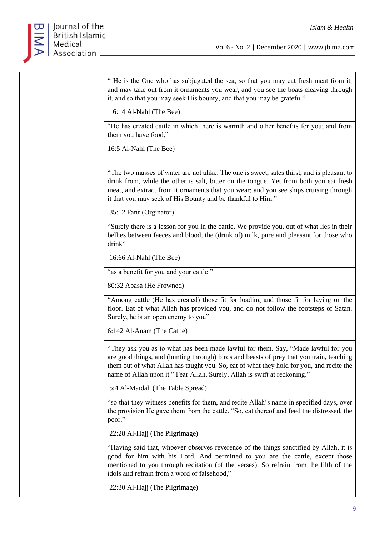" He is the One who has subjugated the sea, so that you may eat fresh meat from it, and may take out from it ornaments you wear, and you see the boats cleaving through it, and so that you may seek His bounty, and that you may be grateful"

16:14 Al-Nahl (The Bee)

"He has created cattle in which there is warmth and other benefits for you; and from them you have food;"

16:5 Al-Nahl (The Bee)

"The two masses of water are not alike. The one is sweet, sates thirst, and is pleasant to drink from, while the other is salt, bitter on the tongue. Yet from both you eat fresh meat, and extract from it ornaments that you wear; and you see ships cruising through it that you may seek of His Bounty and be thankful to Him."

35:12 Fatir (Orginator)

"Surely there is a lesson for you in the cattle. We provide you, out of what lies in their bellies between faeces and blood, the (drink of) milk, pure and pleasant for those who drink"

16:66 Al-Nahl (The Bee)

"as a benefit for you and your cattle."

80:32 Abasa (He Frowned)

"Among cattle (He has created) those fit for loading and those fit for laying on the floor. Eat of what Allah has provided you, and do not follow the footsteps of Satan. Surely, he is an open enemy to you"

6:142 Al-Anam (The Cattle)

"They ask you as to what has been made lawful for them. Say, "Made lawful for you are good things, and (hunting through) birds and beasts of prey that you train, teaching them out of what Allah has taught you. So, eat of what they hold for you, and recite the name of Allah upon it." Fear Allah. Surely, Allah is swift at reckoning."

5:4 Al-Maidah (The Table Spread)

"so that they witness benefits for them, and recite Allah's name in specified days, over the provision He gave them from the cattle. "So, eat thereof and feed the distressed, the poor."

22:28 Al-Hajj (The Pilgrimage)

"Having said that, whoever observes reverence of the things sanctified by Allah, it is good for him with his Lord. And permitted to you are the cattle, except those mentioned to you through recitation (of the verses). So refrain from the filth of the idols and refrain from a word of falsehood,"

22:30 Al-Hajj (The Pilgrimage)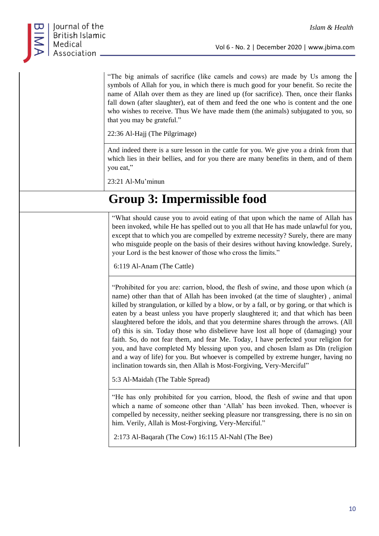

"The big animals of sacrifice (like camels and cows) are made by Us among the symbols of Allah for you, in which there is much good for your benefit. So recite the name of Allah over them as they are lined up (for sacrifice). Then, once their flanks fall down (after slaughter), eat of them and feed the one who is content and the one who wishes to receive. Thus We have made them (the animals) subjugated to you, so that you may be grateful."

22:36 Al-Hajj (The Pilgrimage)

And indeed there is a sure lesson in the cattle for you. We give you a drink from that which lies in their bellies, and for you there are many benefits in them, and of them you eat,"

23:21 Al-Mu'minun

# **Group 3: Impermissible food**

"What should cause you to avoid eating of that upon which the name of Allah has been invoked, while He has spelled out to you all that He has made unlawful for you, except that to which you are compelled by extreme necessity? Surely, there are many who misguide people on the basis of their desires without having knowledge. Surely, your Lord is the best knower of those who cross the limits."

6:119 Al-Anam (The Cattle)

"Prohibited for you are: carrion, blood, the flesh of swine, and those upon which (a name) other than that of Allah has been invoked (at the time of slaughter) , animal killed by strangulation, or killed by a blow, or by a fall, or by goring, or that which is eaten by a beast unless you have properly slaughtered it; and that which has been slaughtered before the idols, and that you determine shares through the arrows. (All of) this is sin. Today those who disbelieve have lost all hope of (damaging) your faith. So, do not fear them, and fear Me. Today, I have perfected your religion for you, and have completed My blessing upon you, and chosen Islam as Dīn (religion and a way of life) for you. But whoever is compelled by extreme hunger, having no inclination towards sin, then Allah is Most-Forgiving, Very-Merciful"

5:3 Al-Maidah (The Table Spread)

"He has only prohibited for you carrion, blood, the flesh of swine and that upon which a name of someone other than 'Allah' has been invoked. Then, whoever is compelled by necessity, neither seeking pleasure nor transgressing, there is no sin on him. Verily, Allah is Most-Forgiving, Very-Merciful."

2:173 Al-Baqarah (The Cow) 16:115 Al-Nahl (The Bee)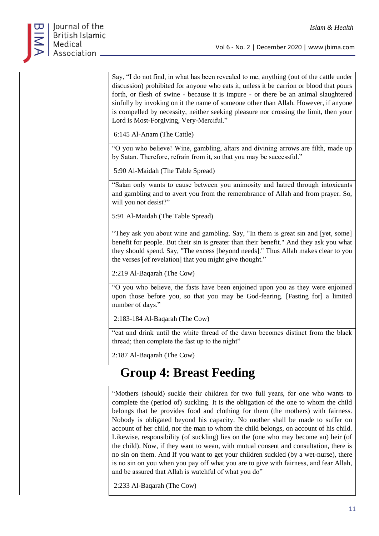

Say, "I do not find, in what has been revealed to me, anything (out of the cattle under discussion) prohibited for anyone who eats it, unless it be carrion or blood that pours forth, or flesh of swine - because it is impure - or there be an animal slaughtered sinfully by invoking on it the name of someone other than Allah. However, if anyone is compelled by necessity, neither seeking pleasure nor crossing the limit, then your Lord is Most-Forgiving, Very-Merciful."

6:145 Al-Anam (The Cattle)

"O you who believe! Wine, gambling, altars and divining arrows are filth, made up by Satan. Therefore, refrain from it, so that you may be successful."

5:90 Al-Maidah (The Table Spread)

"Satan only wants to cause between you animosity and hatred through intoxicants and gambling and to avert you from the remembrance of Allah and from prayer. So, will you not desist?"

5:91 Al-Maidah (The Table Spread)

"They ask you about wine and gambling. Say, "In them is great sin and [yet, some] benefit for people. But their sin is greater than their benefit." And they ask you what they should spend. Say, "The excess [beyond needs]." Thus Allah makes clear to you the verses [of revelation] that you might give thought."

2:219 Al-Baqarah (The Cow)

"O you who believe, the fasts have been enjoined upon you as they were enjoined upon those before you, so that you may be God-fearing. [Fasting for] a limited number of days."

2:183-184 Al-Baqarah (The Cow)

"eat and drink until the white thread of the dawn becomes distinct from the black thread; then complete the fast up to the night"

2:187 Al-Baqarah (The Cow)

# **Group 4: Breast Feeding**

"Mothers (should) suckle their children for two full years, for one who wants to complete the (period of) suckling. It is the obligation of the one to whom the child belongs that he provides food and clothing for them (the mothers) with fairness. Nobody is obligated beyond his capacity. No mother shall be made to suffer on account of her child, nor the man to whom the child belongs, on account of his child. Likewise, responsibility (of suckling) lies on the (one who may become an) heir (of the child). Now, if they want to wean, with mutual consent and consultation, there is no sin on them. And If you want to get your children suckled (by a wet-nurse), there is no sin on you when you pay off what you are to give with fairness, and fear Allah, and be assured that Allah is watchful of what you do"

2:233 Al-Baqarah (The Cow)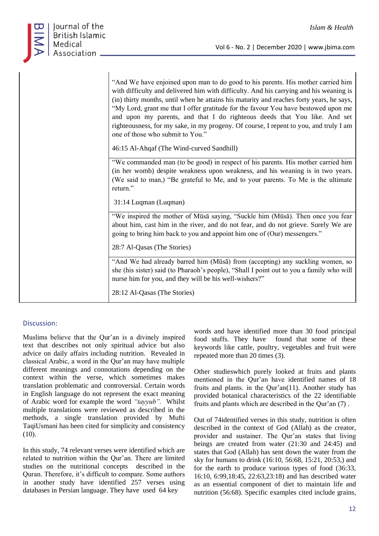

| "And We have enjoined upon man to do good to his parents. His mother carried him<br>with difficulty and delivered him with difficulty. And his carrying and his weaning is<br>(in) thirty months, until when he attains his maturity and reaches forty years, he says,<br>"My Lord, grant me that I offer gratitude for the favour You have bestowed upon me<br>and upon my parents, and that I do righteous deeds that You like. And set<br>righteousness, for my sake, in my progeny. Of course, I repent to you, and truly I am<br>one of those who submit to You."<br>46:15 Al-Ahqaf (The Wind-curved Sandhill) |
|---------------------------------------------------------------------------------------------------------------------------------------------------------------------------------------------------------------------------------------------------------------------------------------------------------------------------------------------------------------------------------------------------------------------------------------------------------------------------------------------------------------------------------------------------------------------------------------------------------------------|
| "We commanded man (to be good) in respect of his parents. His mother carried him                                                                                                                                                                                                                                                                                                                                                                                                                                                                                                                                    |
| (in her womb) despite weakness upon weakness, and his weaning is in two years.<br>(We said to man,) "Be grateful to Me, and to your parents. To Me is the ultimate                                                                                                                                                                                                                                                                                                                                                                                                                                                  |
| return."                                                                                                                                                                                                                                                                                                                                                                                                                                                                                                                                                                                                            |
| 31:14 Luqman (Luqman)                                                                                                                                                                                                                                                                                                                                                                                                                                                                                                                                                                                               |
| "We inspired the mother of Mūsā saying, "Suckle him (Mūsā). Then once you fear                                                                                                                                                                                                                                                                                                                                                                                                                                                                                                                                      |
| about him, cast him in the river, and do not fear, and do not grieve. Surely We are                                                                                                                                                                                                                                                                                                                                                                                                                                                                                                                                 |
| going to bring him back to you and appoint him one of (Our) messengers."                                                                                                                                                                                                                                                                                                                                                                                                                                                                                                                                            |
| 28:7 Al-Qasas (The Stories)                                                                                                                                                                                                                                                                                                                                                                                                                                                                                                                                                                                         |
| "And We had already barred him (Mūsā) from (accepting) any suckling women, so<br>she (his sister) said (to Pharaoh's people), "Shall I point out to you a family who will<br>nurse him for you, and they will be his well-wishers?"                                                                                                                                                                                                                                                                                                                                                                                 |
| 28:12 Al-Qasas (The Stories)                                                                                                                                                                                                                                                                                                                                                                                                                                                                                                                                                                                        |

# Discussion:

Muslims believe that the Qur'an is a divinely inspired text that describes not only spiritual advice but also advice on daily affairs including nutrition. Revealed in classical Arabic, a word in the Qur'an may have multiple different meanings and connotations depending on the context within the verse, which sometimes makes translation problematic and controversial. Certain words in English language do not represent the exact meaning of Arabic word for example the word *"tayyub".* Whilst multiple translations were reviewed as described in the methods, a single translation provided by Mufti TaqiUsmani has been cited for simplicity and consistency (10).

In this study, 74 relevant verses were identified which are related to nutrition within the Qur'an. There are limited studies on the nutritional concepts described in the Quran. Therefore, it's difficult to compare. Some authors in another study have identified 257 verses using databases in Persian language. They have used 64 key

words and have identified more than 30 food principal food stuffs. They have found that some of these keywords like cattle, poultry, vegetables and fruit were repeated more than 20 times (3).

Other studieswhich purely looked at fruits and plants mentioned in the Qur'an have identified names of 18 fruits and plants. in the Qur'an(11). Another study has provided botanical characteristics of the 22 identifiable fruits and plants which are described in the Qur'an (7) .

Out of 74identified verses in this study, nutrition is often described in the context of God (Allah) as the creator, provider and sustainer. The Qur'an states that living beings are created from water (21:30 and 24:45) and states that God (Allah) has sent down the water from the sky for humans to drink (16:10, 56:68, 15:21, 20:53,) and for the earth to produce various types of food (36:33, 16:10, 6:99,18:45, 22:63,23:18) and has described water as an essential component of diet to maintain life and nutrition (56:68). Specific examples cited include grains,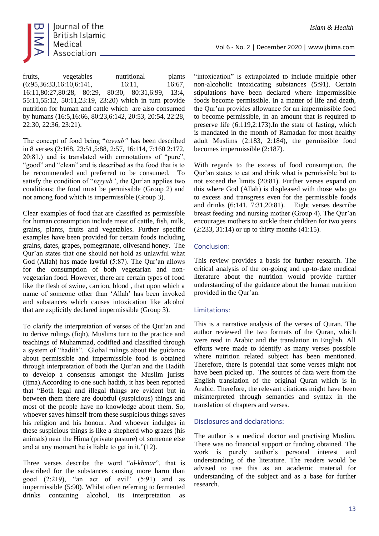

fruits, vegetables nutritional plants (6:95,36:33,16:10,6:141, 16:11, 16:67, 16:11,80:27,80:28, 80:29, 80:30, 80:31,6:99, 13:4, 55:11,55:12, 50:11,23:19, 23:20) which in turn provide nutrition for human and cattle which are also consumed by humans (16:5,16:66, 80:23,6:142, 20:53, 20:54, 22:28, 22:30, 22:36, 23:21).

The concept of food being "*tayyub"* has been described in 8 verses (2:168, 23:51,5:88, 2:57, 16:114, 7:160 2:172, 20:81,) and is translated with connotations of "pure", "good" and "clean" and is described as the food that is to be recommended and preferred to be consumed. To satisfy the condition of "*tayyub"*, the Qur'an applies two conditions; the food must be permissible (Group 2) and not among food which is impermissible (Group 3).

Clear examples of food that are classified as permissible for human consumption include meat of cattle, fish, milk, grains, plants, fruits and vegetables. Further specific examples have been provided for certain foods including grains, dates, grapes, pomegranate, olivesand honey. The Qur'an states that one should not hold as unlawful what God (Allah) has made lawful (5:87). The Qur'an allows for the consumption of both vegetarian and nonvegetarian food. However, there are certain types of food like the flesh of swine, carrion, blood , that upon which a name of someone other than 'Allah' has been invoked and substances which causes intoxication like alcohol that are explicitly declared impermissible (Group 3).

To clarify the interpretation of verses of the Qur'an and to derive rulings (fiqh), Muslims turn to the practice and teachings of Muhammad, codified and classified through a system of "hadith". Global rulings about the guidance about permissible and impermissible food is obtained through interpretation of both the Qur'an and the Hadith to develop a consensus amongst the Muslim jurists (ijma).According to one such hadith, it has been reported that "Both legal and illegal things are evident but in between them there are doubtful (suspicious) things and most of the people have no knowledge about them. So, whoever saves himself from these suspicious things saves his religion and his honour. And whoever indulges in these suspicious things is like a shepherd who grazes (his animals) near the Hima (private pasture) of someone else and at any moment he is liable to get in it."(12).

Three verses describe the word "*al-khmar*", that is described for the substances causing more harm than good (2:219), "an act of evil" (5:91) and as impermissible (5:90). Whilst often referring to fermented drinks containing alcohol, its interpretation as "intoxication" is extrapolated to include multiple other non-alcoholic intoxicating substances (5:91). Certain stipulations have been declared where impermissible foods become permissible. In a matter of life and death, the Qur'an provides allowance for an impermissible food to become permissible, in an amount that is required to preserve life (6:119,2:173).In the state of fasting, which is mandated in the month of Ramadan for most healthy adult Muslims (2:183, 2:184), the permissible food becomes impermissible (2:187).

With regards to the excess of food consumption, the Qur'an states to eat and drink what is permissible but to not exceed the limits (20:81). Further verses expand on this where God (Allah) is displeased with those who go to excess and transgress even for the permissible foods and drinks (6:141, 7:31,20:81). Eight verses describe breast feeding and nursing mother (Group 4). The Qur'an encourages mothers to suckle their children for two years  $(2:233, 31:14)$  or up to thirty months  $(41:15)$ .

### Conclusion:

This review provides a basis for further research. The critical analysis of the on-going and up-to-date medical literature about the nutrition would provide further understanding of the guidance about the human nutrition provided in the Qur'an.

# Limitations:

This is a narrative analysis of the verses of Quran. The author reviewed the two formats of the Quran, which were read in Arabic and the translation in English. All efforts were made to identify as many verses possible where nutrition related subject has been mentioned. Therefore, there is potential that some verses might not have been picked up. The sources of data were from the English translation of the original Quran which is in Arabic. Therefore, the relevant citations might have been misinterpreted through semantics and syntax in the translation of chapters and verses.

### Disclosures and declarations:

The author is a medical doctor and practising Muslim. There was no financial support or funding obtained. The work is purely author's personal interest and understanding of the literature. The readers would be advised to use this as an academic material for understanding of the subject and as a base for further research.